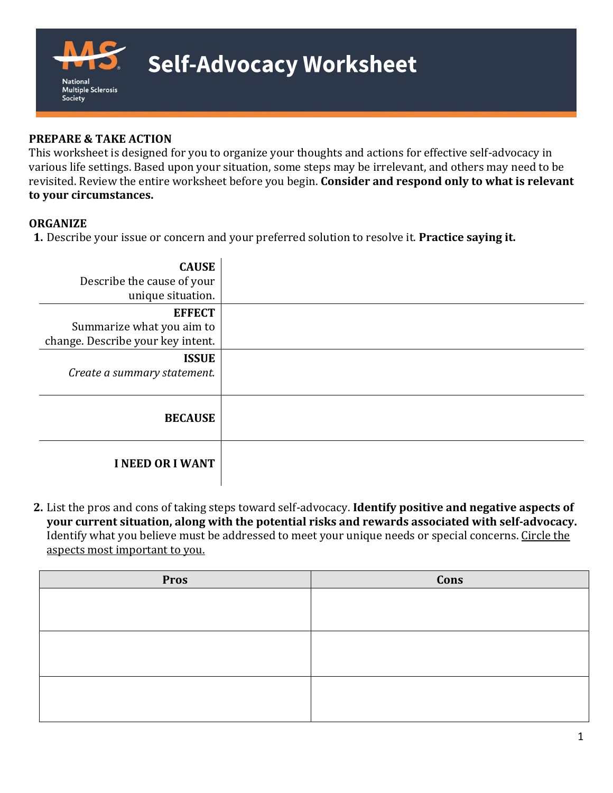

# **Self-Advocacy Worksheet**

### **PREPARE & TAKE ACTION**

This worksheet is designed for you to organize your thoughts and actions for effective self-advocacy in various life settings. Based upon your situation, some steps may be irrelevant, and others may need to be revisited. Review the entire worksheet before you begin. **Consider and respond only to what is relevant to your circumstances.**

#### **ORGANIZE**

**1.** Describe your issue or concern and your preferred solution to resolve it. **Practice saying it.**

| <b>CAUSE</b><br>Describe the cause of your<br>unique situation.                 |  |
|---------------------------------------------------------------------------------|--|
| <b>EFFECT</b><br>Summarize what you aim to<br>change. Describe your key intent. |  |
| <b>ISSUE</b><br>Create a summary statement.                                     |  |
| <b>BECAUSE</b>                                                                  |  |
| <b>I NEED OR I WANT</b>                                                         |  |

**2.** List the pros and cons of taking steps toward self-advocacy. **Identify positive and negative aspects of your current situation, along with the potential risks and rewards associated with self-advocacy.**  Identify what you believe must be addressed to meet your unique needs or special concerns. Circle the aspects most important to you.

| <b>Pros</b> | Cons |
|-------------|------|
|             |      |
|             |      |
|             |      |
|             |      |
|             |      |
|             |      |
|             |      |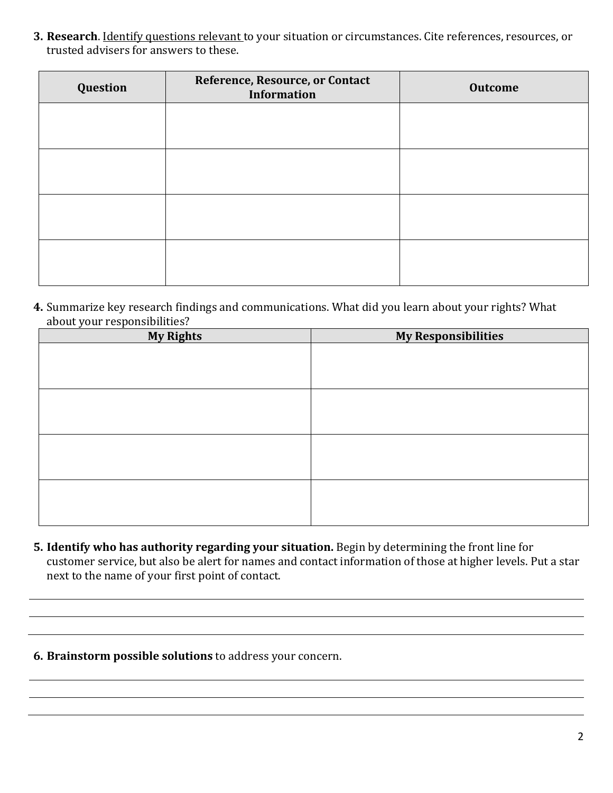**3. Research**. Identify questions relevant to your situation or circumstances. Cite references, resources, or trusted advisers for answers to these.

| Question | Reference, Resource, or Contact<br><b>Information</b> | <b>Outcome</b> |
|----------|-------------------------------------------------------|----------------|
|          |                                                       |                |
|          |                                                       |                |
|          |                                                       |                |
|          |                                                       |                |

**4.** Summarize key research findings and communications. What did you learn about your rights? What about your responsibilities?

| <b>My Rights</b> | <b>My Responsibilities</b> |
|------------------|----------------------------|
|                  |                            |
|                  |                            |
|                  |                            |
|                  |                            |
|                  |                            |
|                  |                            |
|                  |                            |
|                  |                            |
|                  |                            |
|                  |                            |
|                  |                            |
|                  |                            |

- **5. Identify who has authority regarding your situation.** Begin by determining the front line for customer service, but also be alert for names and contact information of those at higher levels. Put a star next to the name of your first point of contact.
- **6. Brainstorm possible solutions** to address your concern.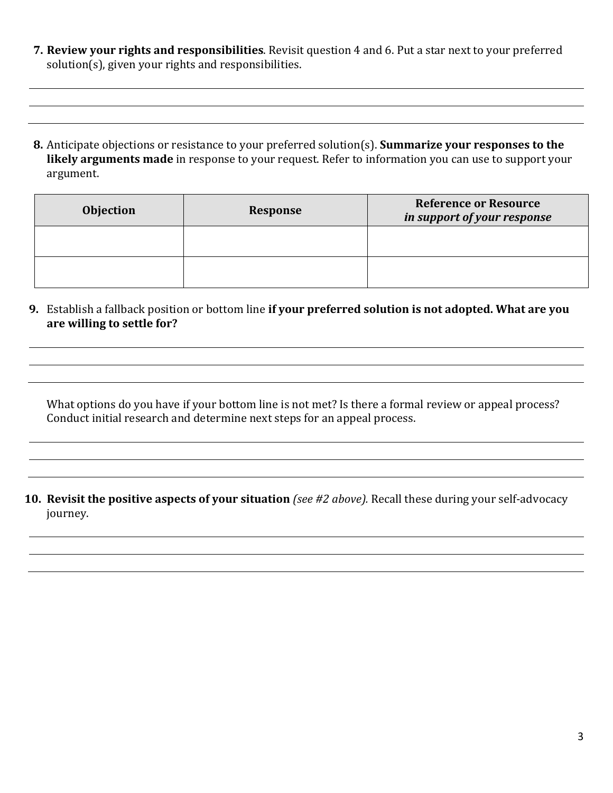- **7. Review your rights and responsibilities**. Revisit question 4 and 6. Put a star next to your preferred solution(s), given your rights and responsibilities.
- **8.** Anticipate objections or resistance to your preferred solution(s). **Summarize your responses to the likely arguments made** in response to your request. Refer to information you can use to support your argument.

| <b>Objection</b> | <b>Response</b> | <b>Reference or Resource</b><br>in support of your response |
|------------------|-----------------|-------------------------------------------------------------|
|                  |                 |                                                             |
|                  |                 |                                                             |

**9.** Establish a fallback position or bottom line **if your preferred solution is not adopted. What are you are willing to settle for?** 

What options do you have if your bottom line is not met? Is there a formal review or appeal process? Conduct initial research and determine next steps for an appeal process.

**10. Revisit the positive aspects of your situation** *(see #2 above).* Recall these during your self-advocacy journey.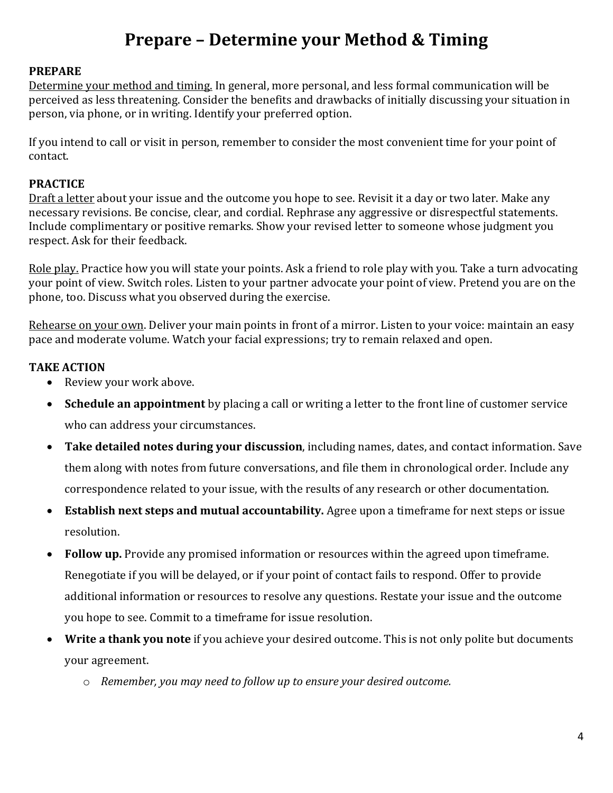# **Prepare – Determine your Method & Timing**

### **PREPARE**

Determine your method and timing. In general, more personal, and less formal communication will be perceived as less threatening. Consider the benefits and drawbacks of initially discussing your situation in person, via phone, or in writing. Identify your preferred option.

If you intend to call or visit in person, remember to consider the most convenient time for your point of contact.

## **PRACTICE**

Draft a letter about your issue and the outcome you hope to see. Revisit it a day or two later. Make any necessary revisions. Be concise, clear, and cordial. Rephrase any aggressive or disrespectful statements. Include complimentary or positive remarks. Show your revised letter to someone whose judgment you respect. Ask for their feedback.

Role play. Practice how you will state your points. Ask a friend to role play with you. Take a turn advocating your point of view. Switch roles. Listen to your partner advocate your point of view. Pretend you are on the phone, too. Discuss what you observed during the exercise.

Rehearse on your own. Deliver your main points in front of a mirror. Listen to your voice: maintain an easy pace and moderate volume. Watch your facial expressions; try to remain relaxed and open.

## **TAKE ACTION**

- Review your work above.
- **Schedule an appointment** by placing a call or writing a letter to the front line of customer service who can address your circumstances.
- **Take detailed notes during your discussion**, including names, dates, and contact information. Save them along with notes from future conversations, and file them in chronological order. Include any correspondence related to your issue, with the results of any research or other documentation.
- **Establish next steps and mutual accountability.** Agree upon a timeframe for next steps or issue resolution.
- **Follow up.** Provide any promised information or resources within the agreed upon timeframe. Renegotiate if you will be delayed, or if your point of contact fails to respond. Offer to provide additional information or resources to resolve any questions. Restate your issue and the outcome you hope to see. Commit to a timeframe for issue resolution.
- **Write a thank you note** if you achieve your desired outcome. This is not only polite but documents your agreement.
	- o *Remember, you may need to follow up to ensure your desired outcome.*